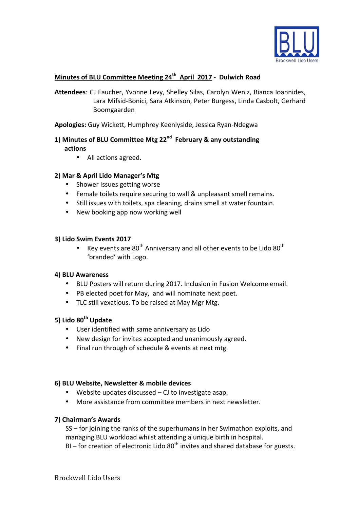

# **Minutes of BLU Committee Meeting 24th April 2017 - Dulwich Road**

Attendees: CJ Faucher, Yvonne Levy, Shelley Silas, Carolyn Weniz, Bianca Ioannides, Lara Mifsid-Bonici, Sara Atkinson, Peter Burgess, Linda Casbolt, Gerhard Boomgaarden

Apologies: Guy Wickett, Humphrey Keenlyside, Jessica Ryan-Ndegwa

### 1) Minutes of BLU Committee Mtg 22<sup>nd</sup> February & any outstanding **actions**

• All actions agreed.

### **2) Mar & April Lido Manager's Mtg**

- Shower Issues getting worse
- Female toilets require securing to wall & unpleasant smell remains.
- Still issues with toilets, spa cleaning, drains smell at water fountain.
- New booking app now working well

#### **3) Lido Swim Events 2017**

• Key events are  $80^{th}$  Anniversary and all other events to be Lido  $80^{th}$ 'branded' with Logo.

#### **4) BLU Awareness**

- BLU Posters will return during 2017. Inclusion in Fusion Welcome email.
- PB elected poet for May, and will nominate next poet.
- TLC still vexatious. To be raised at May Mgr Mtg.

## **5) Lido 80th Update**

- User identified with same anniversary as Lido
- New design for invites accepted and unanimously agreed.
- Final run through of schedule & events at next mtg.

#### **6) BLU Website, Newsletter & mobile devices**

- Website updates discussed  $-$  CJ to investigate asap.
- More assistance from committee members in next newsletter.

#### **7) Chairman's Awards**

SS – for joining the ranks of the superhumans in her Swimathon exploits, and managing BLU workload whilst attending a unique birth in hospital. BI – for creation of electronic Lido  $80<sup>th</sup>$  invites and shared database for guests.